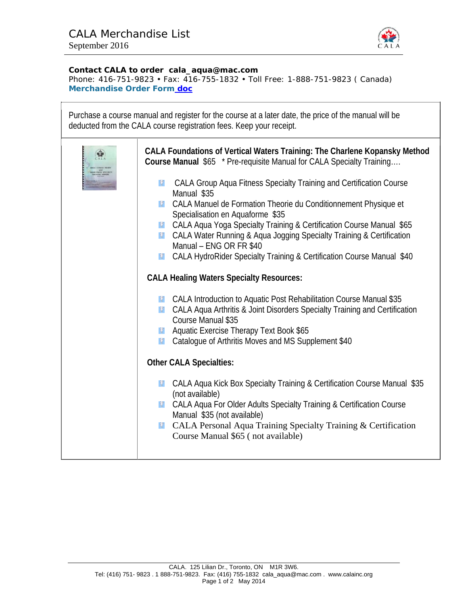

## **Contact CALA to order cala\_aqua@mac.com**

Phone: 416-751-9823 • Fax: 416-755-1832 • Toll Free: 1-888-751-9823 ( Canada) **Merchandise Order Form doc** 

| Purchase a course manual and register for the course at a later date, the price of the manual will be<br>deducted from the CALA course registration fees. Keep your receipt.                                                                                                                                                                                                                                                                                                                                                                                                                                                                                                                                                                                                                                                                                                                                                                                                                                                                                                                                                                                                                                                                                                                                                                                                         |
|--------------------------------------------------------------------------------------------------------------------------------------------------------------------------------------------------------------------------------------------------------------------------------------------------------------------------------------------------------------------------------------------------------------------------------------------------------------------------------------------------------------------------------------------------------------------------------------------------------------------------------------------------------------------------------------------------------------------------------------------------------------------------------------------------------------------------------------------------------------------------------------------------------------------------------------------------------------------------------------------------------------------------------------------------------------------------------------------------------------------------------------------------------------------------------------------------------------------------------------------------------------------------------------------------------------------------------------------------------------------------------------|
| CALA Foundations of Vertical Waters Training: The Charlene Kopansky Method<br>Course Manual \$65 * Pre-requisite Manual for CALA Specialty Training<br>CALA Group Aqua Fitness Specialty Training and Certification Course<br>复<br>Manual \$35<br>CALA Manuel de Formation Theorie du Conditionnement Physique et<br>$\hat{Z}$<br>Specialisation en Aquaforme \$35<br>CALA Aqua Yoga Specialty Training & Certification Course Manual \$65<br>弩<br><b>EX</b> CALA Water Running & Aqua Jogging Specialty Training & Certification<br>Manual - ENG OR FR \$40<br>CALA HydroRider Specialty Training & Certification Course Manual \$40<br>奖<br><b>CALA Healing Waters Specialty Resources:</b><br><b>EX</b> CALA Introduction to Aquatic Post Rehabilitation Course Manual \$35<br><b>12 CALA Agua Arthritis &amp; Joint Disorders Specialty Training and Certification</b><br>Course Manual \$35<br><b>Aquatic Exercise Therapy Text Book \$65</b><br>奖<br>Catalogue of Arthritis Moves and MS Supplement \$40<br>$\boldsymbol{\Omega}$<br><b>Other CALA Specialties:</b><br>CALA Aqua Kick Box Specialty Training & Certification Course Manual \$35<br>复<br>(not available)<br>CALA Aqua For Older Adults Specialty Training & Certification Course<br>经<br>Manual \$35 (not available)<br>CALA Personal Aqua Training Specialty Training & Certification<br>$\boldsymbol{\Omega}$ |
| Course Manual \$65 (not available)                                                                                                                                                                                                                                                                                                                                                                                                                                                                                                                                                                                                                                                                                                                                                                                                                                                                                                                                                                                                                                                                                                                                                                                                                                                                                                                                                   |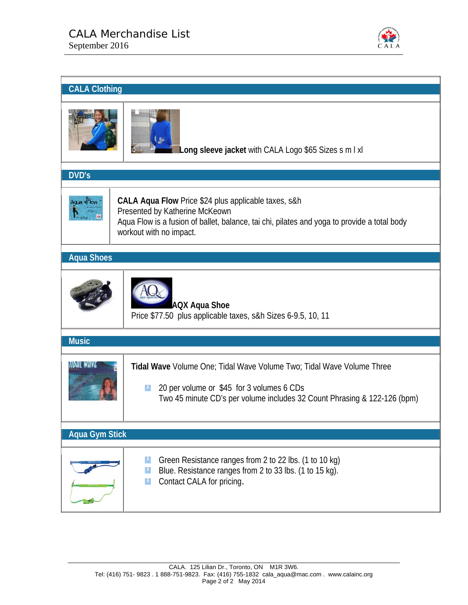

| <b>CALA Clothing</b>  |                                                                                                                                                                                                                             |
|-----------------------|-----------------------------------------------------------------------------------------------------------------------------------------------------------------------------------------------------------------------------|
|                       | Long sleeve jacket with CALA Logo \$65 Sizes s m I xl                                                                                                                                                                       |
| <b>DVD's</b>          |                                                                                                                                                                                                                             |
|                       | <b>CALA Aqua Flow Price \$24 plus applicable taxes, s&amp;h</b><br>Presented by Katherine McKeown<br>Aqua Flow is a fusion of ballet, balance, tai chi, pilates and yoga to provide a total body<br>workout with no impact. |
| <b>Aqua Shoes</b>     |                                                                                                                                                                                                                             |
| <b>Music</b>          | <b>AQX Aqua Shoe</b><br>Price \$77.50 plus applicable taxes, s&h Sizes 6-9.5, 10, 11                                                                                                                                        |
|                       |                                                                                                                                                                                                                             |
|                       | Tidal Wave Volume One; Tidal Wave Volume Two; Tidal Wave Volume Three<br>20 per volume or \$45 for 3 volumes 6 CDs<br>Ÿ<br>Two 45 minute CD's per volume includes 32 Count Phrasing & 122-126 (bpm)                         |
| <b>Aqua Gym Stick</b> |                                                                                                                                                                                                                             |
|                       | Green Resistance ranges from 2 to 22 lbs. (1 to 10 kg)<br>V<br>Blue. Resistance ranges from 2 to 33 lbs. (1 to 15 kg).<br>V<br>Contact CALA for pricing.<br>V                                                               |